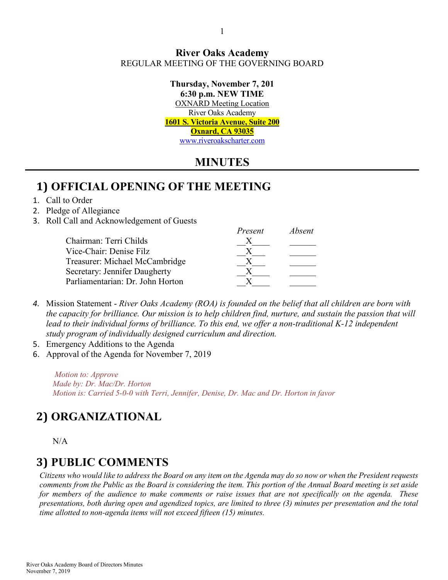#### **River Oaks Academy** REGULAR MEETING OF THE GOVERNING BOARD

**Thursday, November 7, 201 6:30 p.m. NEW TIME** OXNARD Meeting Location River Oaks Academy **1601 S. Victoria Avenue, Suite 200 Oxnard, CA 93035** [www.riveroakscharter.com](http://www.riveroakscharter.com/)

## **MINUTES**

*Present Absent*

# **1) OFFICIAL OPENING OF THE MEETING**

#### 1. Call to Order

#### 2. Pledge of Allegiance

3. Roll Call and Acknowledgement of Guests

| <i>rresent</i> | Avseni |
|----------------|--------|
|                |        |
|                |        |
|                |        |
|                |        |
|                |        |
|                |        |

- *4.* Mission Statement *River Oaks Academy (ROA) is founded on the belief that all children are born with the capacity for brilliance. Our mission is to help children find, nurture, and sustain the passion that will lead to their individual forms of brilliance. To this end, we offer a non-traditional K-12 independent study program of individually designed curriculum and direction.*
- 5. Emergency Additions to the Agenda
- 6. Approval of the Agenda for November 7, 2019

*Motion to: Approve Made by: Dr. Mac/Dr. Horton Motion is: Carried 5-0-0 with Terri, Jennifer, Denise, Dr. Mac and Dr. Horton in favor*

# **2) ORGANIZATIONAL**

 $N/A$ 

# **3) PUBLIC COMMENTS**

*Citizens who would like to address the Board on any item on the Agenda may do so now or when the President requests comments from the Public as the Board is considering the item. This portion of the Annual Board meeting is set aside for members of the audience to make comments or raise issues that are not specifically on the agenda. These presentations, both during open and agendized topics, are limited to three (3) minutes per presentation and the total time allotted to non-agenda items will not exceed fifteen (15) minutes.*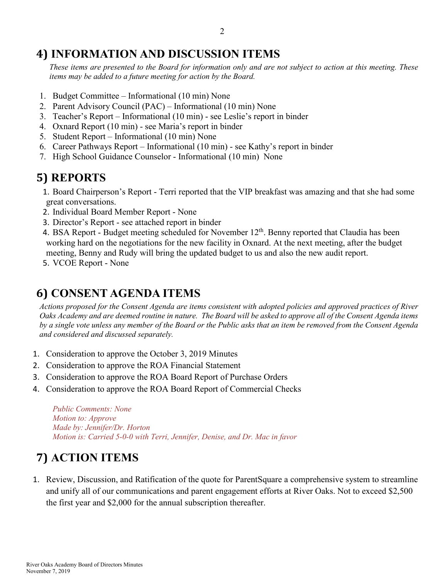# **4) INFORMATION AND DISCUSSION ITEMS**

*These items are presented to the Board for information only and are not subject to action at this meeting. These items may be added to a future meeting for action by the Board.*

- 1. Budget Committee Informational (10 min) None
- 2. Parent Advisory Council (PAC) Informational (10 min) None
- 3. Teacher's Report Informational (10 min) see Leslie's report in binder
- 4. Oxnard Report (10 min) see Maria's report in binder
- 5. Student Report Informational (10 min) None
- 6. Career Pathways Report Informational (10 min) see Kathy's report in binder
- 7. High School Guidance Counselor Informational (10 min) None

# **5) REPORTS**

- 1. Board Chairperson's Report Terri reported that the VIP breakfast was amazing and that she had some great conversations.
- 2. Individual Board Member Report None
- 3. Director's Report see attached report in binder
- 4. BSA Report Budget meeting scheduled for November  $12<sup>th</sup>$ . Benny reported that Claudia has been working hard on the negotiations for the new facility in Oxnard. At the next meeting, after the budget meeting, Benny and Rudy will bring the updated budget to us and also the new audit report.
- 5. VCOE Report None

# **6) CONSENT AGENDA ITEMS**

*Actions proposed for the Consent Agenda are items consistent with adopted policies and approved practices of River Oaks Academy and are deemed routine in nature. The Board will be asked to approve all of the Consent Agenda items by a single vote unless any member of the Board or the Public asks that an item be removed from the Consent Agenda and considered and discussed separately.*

- 1. Consideration to approve the October 3, 2019 Minutes
- 2. Consideration to approve the ROA Financial Statement
- 3. Consideration to approve the ROA Board Report of Purchase Orders
- 4. Consideration to approve the ROA Board Report of Commercial Checks

*Public Comments: None Motion to: Approve Made by: Jennifer/Dr. Horton Motion is: Carried 5-0-0 with Terri, Jennifer, Denise, and Dr. Mac in favor*

# **7) ACTION ITEMS**

1. Review, Discussion, and Ratification of the quote for ParentSquare a comprehensive system to streamline and unify all of our communications and parent engagement efforts at River Oaks. Not to exceed \$2,500 the first year and \$2,000 for the annual subscription thereafter.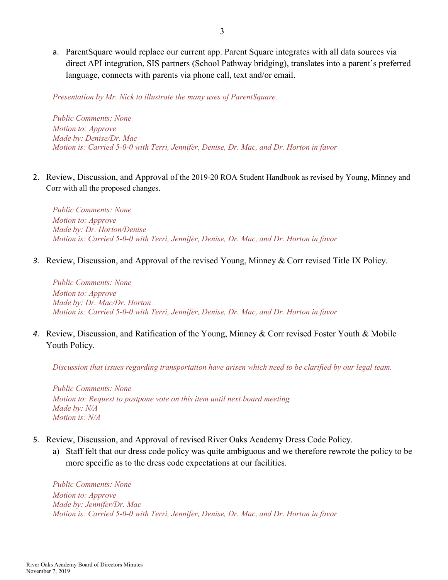a. ParentSquare would replace our current app. Parent Square integrates with all data sources via direct API integration, SIS partners (School Pathway bridging), translates into a parent's preferred language, connects with parents via phone call, text and/or email.

*Presentation by Mr. Nick to illustrate the many uses of ParentSquare.*

*Public Comments: None Motion to: Approve Made by: Denise/Dr. Mac Motion is: Carried 5-0-0 with Terri, Jennifer, Denise, Dr. Mac, and Dr. Horton in favor*

2. Review, Discussion, and Approval of the 2019-20 ROA Student Handbook as revised by Young, Minney and Corr with all the proposed changes.

*Public Comments: None Motion to: Approve Made by: Dr. Horton/Denise Motion is: Carried 5-0-0 with Terri, Jennifer, Denise, Dr. Mac, and Dr. Horton in favor*

*3.* Review, Discussion, and Approval of the revised Young, Minney & Corr revised Title IX Policy.

*Public Comments: None Motion to: Approve Made by: Dr. Mac/Dr. Horton Motion is: Carried 5-0-0 with Terri, Jennifer, Denise, Dr. Mac, and Dr. Horton in favor*

*4.* Review, Discussion, and Ratification of the Young, Minney & Corr revised Foster Youth & Mobile Youth Policy.

*Discussion that issues regarding transportation have arisen which need to be clarified by our legal team.*

*Public Comments: None Motion to: Request to postpone vote on this item until next board meeting Made by: N/A Motion is: N/A*

- *5.* Review, Discussion, and Approval of revised River Oaks Academy Dress Code Policy.
	- a) Staff felt that our dress code policy was quite ambiguous and we therefore rewrote the policy to be more specific as to the dress code expectations at our facilities.

*Public Comments: None Motion to: Approve Made by: Jennifer/Dr. Mac Motion is: Carried 5-0-0 with Terri, Jennifer, Denise, Dr. Mac, and Dr. Horton in favor*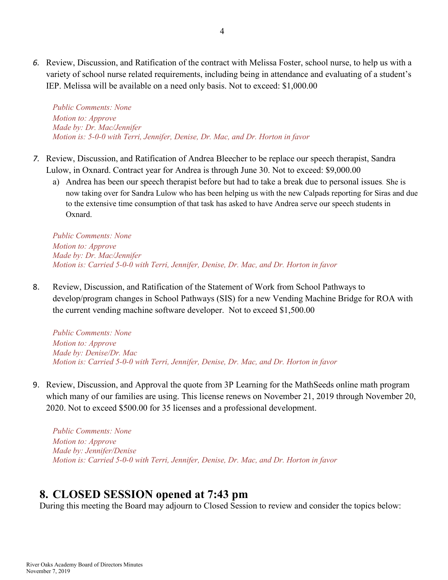*6.* Review, Discussion, and Ratification of the contract with Melissa Foster, school nurse, to help us with a variety of school nurse related requirements, including being in attendance and evaluating of a student's IEP. Melissa will be available on a need only basis. Not to exceed: \$1,000.00

*Public Comments: None Motion to: Approve Made by: Dr. Mac/Jennifer Motion is: 5-0-0 with Terri, Jennifer, Denise, Dr. Mac, and Dr. Horton in favor*

- *7.* Review, Discussion, and Ratification of Andrea Bleecher to be replace our speech therapist, Sandra Lulow, in Oxnard. Contract year for Andrea is through June 30. Not to exceed: \$9,000.00
	- a) Andrea has been our speech therapist before but had to take a break due to personal issues*.* She is now taking over for Sandra Lulow who has been helping us with the new Calpads reporting for Siras and due to the extensive time consumption of that task has asked to have Andrea serve our speech students in Oxnard.

*Public Comments: None Motion to: Approve Made by: Dr. Mac/Jennifer Motion is: Carried 5-0-0 with Terri, Jennifer, Denise, Dr. Mac, and Dr. Horton in favor*

8. Review, Discussion, and Ratification of the Statement of Work from School Pathways to develop/program changes in School Pathways (SIS) for a new Vending Machine Bridge for ROA with the current vending machine software developer. Not to exceed \$1,500.00

*Public Comments: None Motion to: Approve Made by: Denise/Dr. Mac Motion is: Carried 5-0-0 with Terri, Jennifer, Denise, Dr. Mac, and Dr. Horton in favor*

9. Review, Discussion, and Approval the quote from 3P Learning for the MathSeeds online math program which many of our families are using. This license renews on November 21, 2019 through November 20, 2020. Not to exceed \$500.00 for 35 licenses and a professional development.

*Public Comments: None Motion to: Approve Made by: Jennifer/Denise Motion is: Carried 5-0-0 with Terri, Jennifer, Denise, Dr. Mac, and Dr. Horton in favor*

### **8. CLOSED SESSION opened at 7:43 pm**

During this meeting the Board may adjourn to Closed Session to review and consider the topics below: